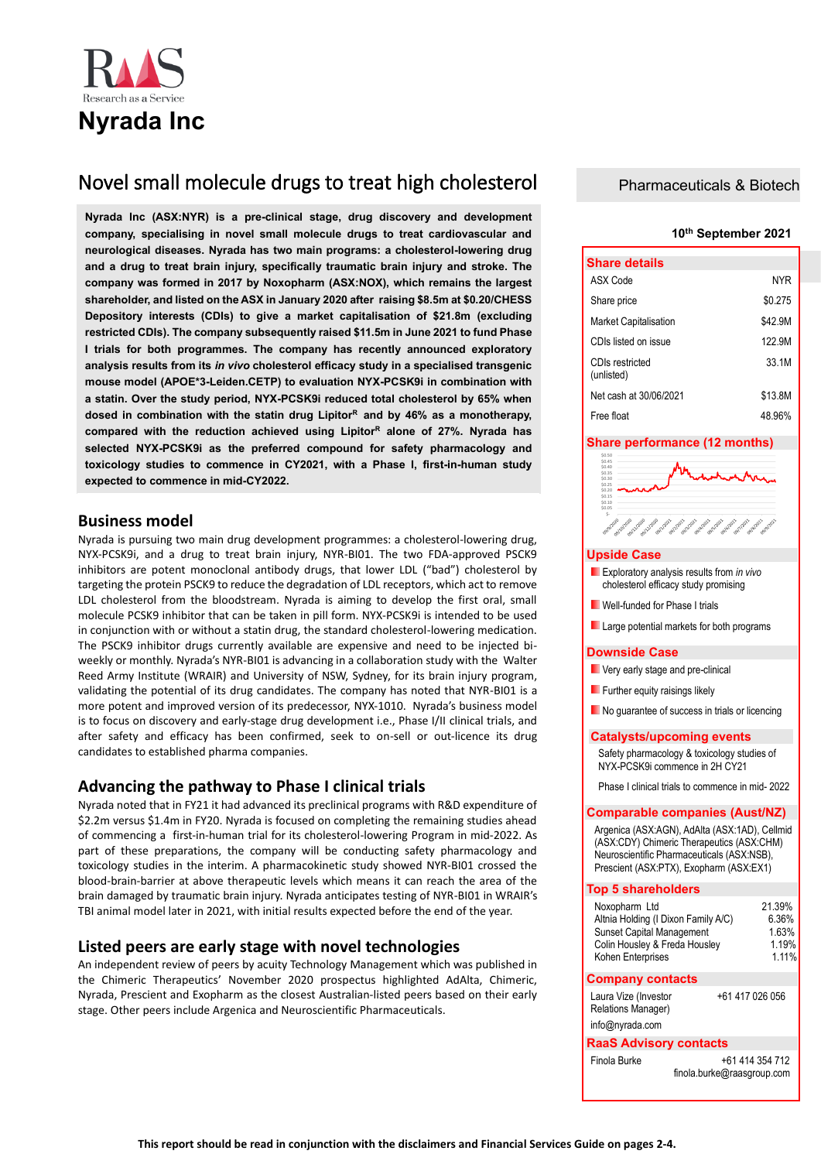

# Novel small molecule drugs to treat high cholesterol

**Nyrada Inc (ASX:NYR) is a pre-clinical stage, drug discovery and development company, specialising in novel small molecule drugs to treat cardiovascular and neurological diseases. Nyrada has two main programs: a cholesterol-lowering drug and a drug to treat brain injury, specifically traumatic brain injury and stroke. The company was formed in 2017 by Noxopharm (ASX:NOX), which remains the largest shareholder, and listed on the ASX in January 2020 after raising \$8.5m at \$0.20/CHESS Depository interests (CDIs) to give a market capitalisation of \$21.8m (excluding restricted CDIs). The company subsequently raised \$11.5m in June 2021 to fund Phase I trials for both programmes. The company has recently announced exploratory analysis results from its** *in vivo* **cholesterol efficacy study in a specialised transgenic mouse model (APOE\*3-Leiden.CETP) to evaluation NYX-PCSK9i in combination with a statin. Over the study period, NYX-PCSK9i reduced total cholesterol by 65% when dosed in combination with the statin drug Lipitor<sup>R</sup>and by 46% as a monotherapy, compared with the reduction achieved using Lipitor<sup>R</sup> alone of 27%. Nyrada has selected NYX-PCSK9i as the preferred compound for safety pharmacology and toxicology studies to commence in CY2021, with a Phase I, first-in-human study expected to commence in mid-CY2022.**

## **Business model**

Nyrada is pursuing two main drug development programmes: a cholesterol-lowering drug, NYX-PCSK9i, and a drug to treat brain injury, NYR-BI01. The two FDA-approved PSCK9 inhibitors are potent monoclonal antibody drugs, that lower LDL ("bad") cholesterol by targeting the protein PSCK9 to reduce the degradation of LDL receptors, which act to remove LDL cholesterol from the bloodstream. Nyrada is aiming to develop the first oral, small molecule PCSK9 inhibitor that can be taken in pill form. NYX-PCSK9i is intended to be used in conjunction with or without a statin drug, the standard cholesterol-lowering medication. The PSCK9 inhibitor drugs currently available are expensive and need to be injected biweekly or monthly. Nyrada's NYR-BI01 is advancing in a collaboration study with the Walter Reed Army Institute (WRAIR) and University of NSW, Sydney, for its brain injury program, validating the potential of its drug candidates. The company has noted that NYR-BI01 is a more potent and improved version of its predecessor, NYX-1010. Nyrada's business model is to focus on discovery and early-stage drug development i.e., Phase I/II clinical trials, and after safety and efficacy has been confirmed, seek to on-sell or out-licence its drug candidates to established pharma companies.

## **Advancing the pathway to Phase I clinical trials**

Nyrada noted that in FY21 it had advanced its preclinical programs with R&D expenditure of \$2.2m versus \$1.4m in FY20. Nyrada is focused on completing the remaining studies ahead of commencing a first-in-human trial for its cholesterol-lowering Program in mid-2022. As part of these preparations, the company will be conducting safety pharmacology and toxicology studies in the interim. A pharmacokinetic study showed NYR-BI01 crossed the blood-brain-barrier at above therapeutic levels which means it can reach the area of the brain damaged by traumatic brain injury. Nyrada anticipates testing of NYR-BI01 in WRAIR's TBI animal model later in 2021, with initial results expected before the end of the year.

## **Listed peers are early stage with novel technologies**

An independent review of peers by acuity Technology Management which was published in the Chimeric Therapeutics' November 2020 prospectus highlighted AdAlta, Chimeric, Nyrada, Prescient and Exopharm as the closest Australian-listed peers based on their early stage. Other peers include Argenica and Neuroscientific Pharmaceuticals.

## Pharmaceuticals & Biotech

### **10th September 2021**

| <b>Share details</b>          |            |
|-------------------------------|------------|
| ASX Code                      | <b>NYR</b> |
| Share price                   | \$0.275    |
| <b>Market Capitalisation</b>  | \$42.9M    |
| CDIs listed on issue          | 122.9M     |
| CDIs restricted<br>(unlisted) | 33 1M      |
| Net cash at 30/06/2021        | \$13.8M    |
| Free float                    | 48.96%     |

### **Share performance (12 months)**



### **Upside Case**

- Exploratory analysis results from *in vivo* cholesterol efficacy study promising
- **Nell-funded for Phase I trials**
- **Large potential markets for both programs**

### **Downside Case**

- **Very early stage and pre-clinical**
- **Further equity raisings likely**
- No guarantee of success in trials or licencing

### **Catalysts/upcoming events**

Safety pharmacology & toxicology studies of NYX-PCSK9i commence in 2H CY21

Phase I clinical trials to commence in mid- 2022

### **Comparable companies (Aust/NZ)**

Argenica (ASX:AGN), AdAlta (ASX:1AD), Cellmid (ASX:CDY) Chimeric Therapeutics (ASX:CHM) Neuroscientific Pharmaceuticals (ASX:NSB), Prescient (ASX:PTX), Exopharm (ASX:EX1)

### **Top 5 shareholders**

| Noxopharm Ltd                                                           | 21.39%<br>6.36% |
|-------------------------------------------------------------------------|-----------------|
| Altnia Holding (I Dixon Family A/C)<br><b>Sunset Capital Management</b> | 1.63%           |
| Colin Housley & Freda Housley                                           | 1.19%           |
| Kohen Enterprises                                                       | 1.11%           |

### **Company contacts**

| Laura Vize (Investor | +61 417 026 056 |
|----------------------|-----------------|
| Relations Manager)   |                 |

info@nyrada.com

### **RaaS Advisory contacts**

Finola Burke +61 414 354 712 [finola.burke@raasgroup.c](mailto:finola.burke@raasgroup)om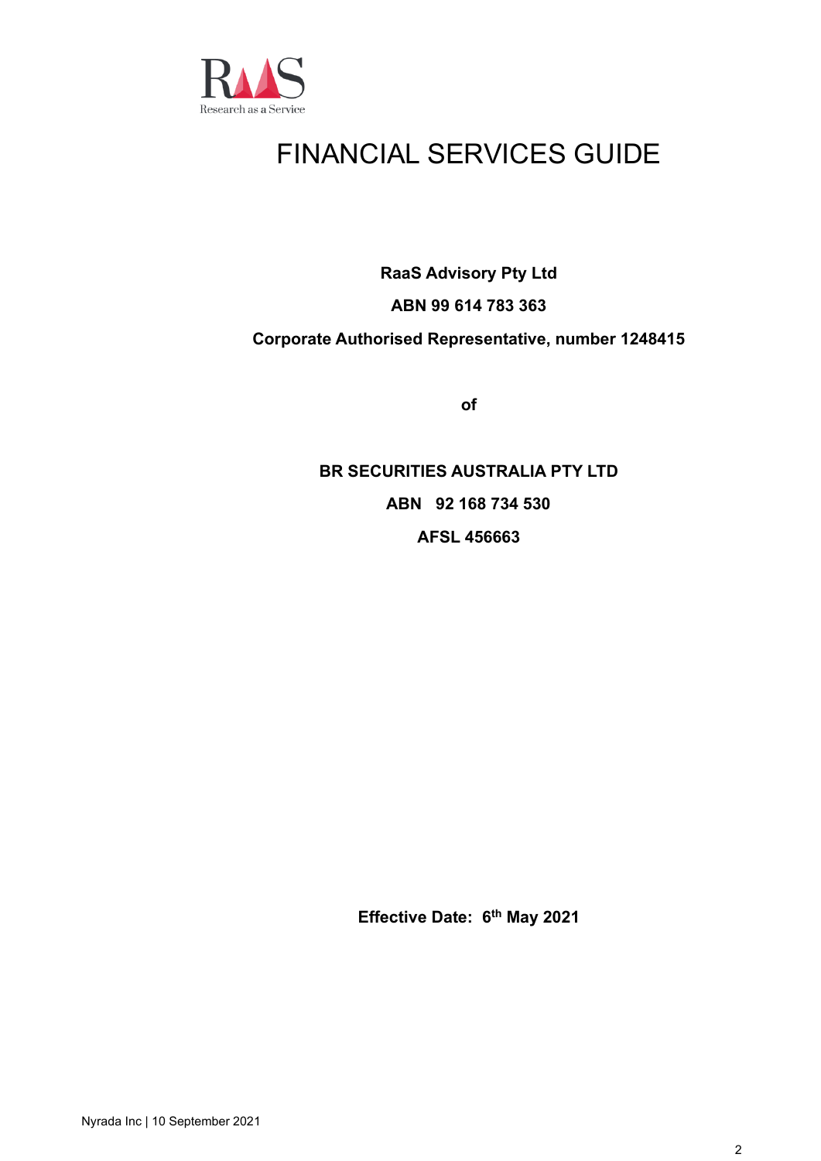

# FINANCIAL SERVICES GUIDE

**RaaS Advisory Pty Ltd**

## **ABN 99 614 783 363**

## **Corporate Authorised Representative, number 1248415**

**of**

**BR SECURITIES AUSTRALIA PTY LTD ABN 92 168 734 530 AFSL 456663**

**Effective Date: 6 th May 2021**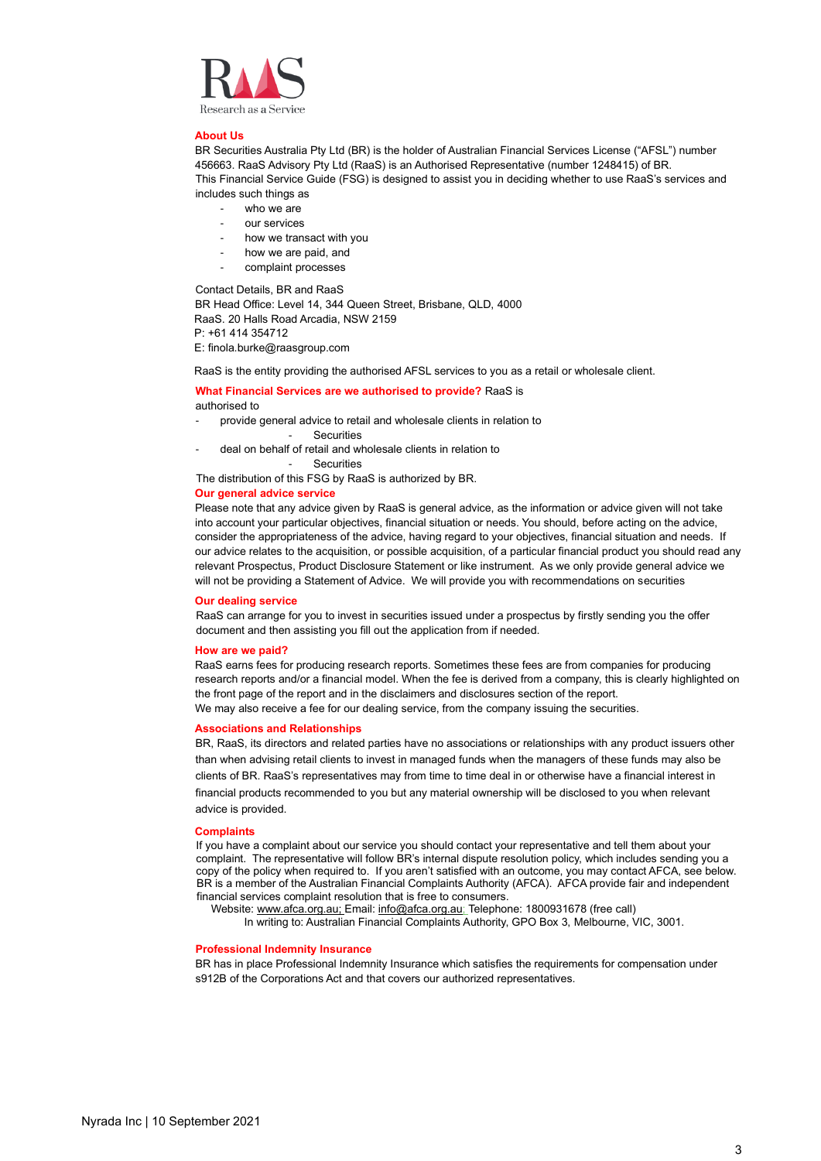

### **About Us**

BR Securities Australia Pty Ltd (BR) is the holder of Australian Financial Services License ("AFSL") number 456663. RaaS Advisory Pty Ltd (RaaS) is an Authorised Representative (number 1248415) of BR. This Financial Service Guide (FSG) is designed to assist you in deciding whether to use RaaS's services and includes such things as

- who we are
- our services
- how we transact with you
- how we are paid, and
- complaint processes

Contact Details, BR and RaaS

BR Head Office: Level 14, 344 Queen Street, Brisbane, QLD, 4000 RaaS. 20 Halls Road Arcadia, NSW 2159 P: +61 414 354712

E: finola.burke@raasgroup.com

RaaS is the entity providing the authorised AFSL services to you as a retail or wholesale client.

### **What Financial Services are we authorised to provide?** RaaS is authorised to

- provide general advice to retail and wholesale clients in relation to
	- Securities
- deal on behalf of retail and wholesale clients in relation to

**Securities** 

The distribution of this FSG by RaaS is authorized by BR.

### **Our general advice service**

Please note that any advice given by RaaS is general advice, as the information or advice given will not take into account your particular objectives, financial situation or needs. You should, before acting on the advice, consider the appropriateness of the advice, having regard to your objectives, financial situation and needs. If our advice relates to the acquisition, or possible acquisition, of a particular financial product you should read any relevant Prospectus, Product Disclosure Statement or like instrument. As we only provide general advice we will not be providing a Statement of Advice. We will provide you with recommendations on securities

### **Our dealing service**

RaaS can arrange for you to invest in securities issued under a prospectus by firstly sending you the offer document and then assisting you fill out the application from if needed.

### **How are we paid?**

RaaS earns fees for producing research reports. Sometimes these fees are from companies for producing research reports and/or a financial model. When the fee is derived from a company, this is clearly highlighted on the front page of the report and in the disclaimers and disclosures section of the report. We may also receive a fee for our dealing service, from the company issuing the securities.

### **Associations and Relationships**

BR, RaaS, its directors and related parties have no associations or relationships with any product issuers other than when advising retail clients to invest in managed funds when the managers of these funds may also be clients of BR. RaaS's representatives may from time to time deal in or otherwise have a financial interest in financial products recommended to you but any material ownership will be disclosed to you when relevant advice is provided.

### **Complaints**

If you have a complaint about our service you should contact your representative and tell them about your complaint. The representative will follow BR's internal dispute resolution policy, which includes sending you a copy of the policy when required to. If you aren't satisfied with an outcome, you may contact AFCA, see below. BR is a member of the Australian Financial Complaints Authority (AFCA). AFCA provide fair and independent financial services complaint resolution that is free to consumers.

Website[: www.afca.org.au;](http://www.afca.org.au/) Email[: info@afca.org.au;](mailto:info@afca.org.au) Telephone: 1800931678 (free call)

In writing to: Australian Financial Complaints Authority, GPO Box 3, Melbourne, VIC, 3001.

### **Professional Indemnity Insurance**

BR has in place Professional Indemnity Insurance which satisfies the requirements for compensation under s912B of the Corporations Act and that covers our authorized representatives.